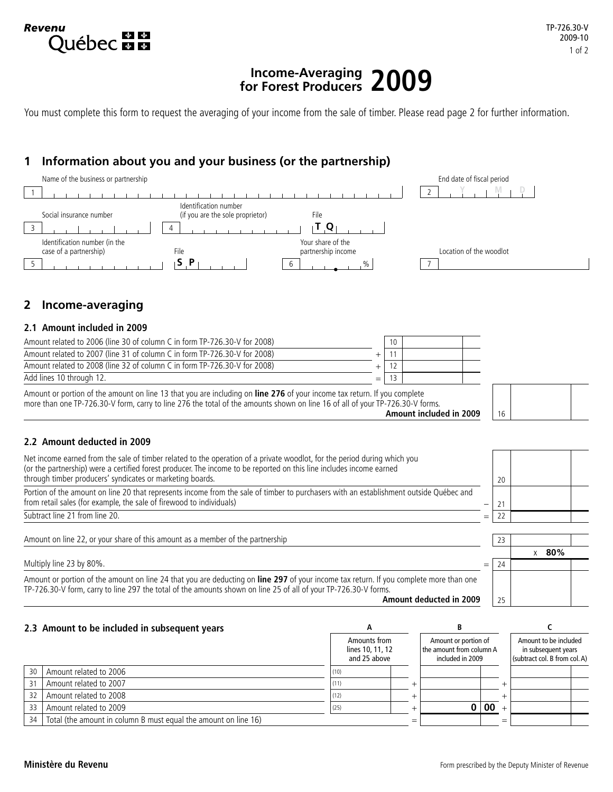# **Income-Averaging for Forest Producers 2009**

You must complete this form to request the averaging of your income from the sale of timber. Please read page 2 for further information.

# **1 Information about you and your business (or the partnership)**



# **2 Income-averaging**

**Revenu** 

**Québec manque** 

#### **2.1 Amount included in 2009**

| Amount related to 2006 (line 30 of column C in form TP-726.30-V for 2008) | 10 |  |
|---------------------------------------------------------------------------|----|--|
| Amount related to 2007 (line 31 of column C in form TP-726.30-V for 2008) |    |  |
| Amount related to 2008 (line 32 of column C in form TP-726.30-V for 2008) |    |  |
| Add lines 10 through 12.                                                  |    |  |
|                                                                           |    |  |

Amount or portion of the amount on line 13 that you are including on **line 276** of your income tax return. If you complete more than one TP-726.30-V form, carry to line 276 the total of the amounts shown on line 16 of all of your TP-726.30-V forms.

**Amount included in 2009**



#### **2.2 Amount deducted in 2009**

| Net income earned from the sale of timber related to the operation of a private woodlot, for the period during which you<br>(or the partnership) were a certified forest producer. The income to be reported on this line includes income earned                                     |     |    |              |
|--------------------------------------------------------------------------------------------------------------------------------------------------------------------------------------------------------------------------------------------------------------------------------------|-----|----|--------------|
| through timber producers' syndicates or marketing boards.                                                                                                                                                                                                                            |     | 20 |              |
| Portion of the amount on line 20 that represents income from the sale of timber to purchasers with an establishment outside Québec and<br>from retail sales (for example, the sale of firewood to individuals)                                                                       |     | 21 |              |
| Subtract line 21 from line 20.                                                                                                                                                                                                                                                       | $=$ | 22 |              |
|                                                                                                                                                                                                                                                                                      |     |    |              |
| Amount on line 22, or your share of this amount as a member of the partnership                                                                                                                                                                                                       |     | 23 |              |
|                                                                                                                                                                                                                                                                                      |     |    | $\times$ 80% |
| Multiply line 23 by 80%.                                                                                                                                                                                                                                                             | $=$ | 24 |              |
| Amount or portion of the amount on line 24 that you are deducting on line 297 of your income tax return. If you complete more than one<br>TP-726.30-V form, carry to line 297 the total of the amounts shown on line 25 of all of your TP-726.30-V forms.<br>Amount deducted in 2009 |     |    |              |
|                                                                                                                                                                                                                                                                                      |     | 25 |              |

#### **2.3 Amount to be included in subsequent years A B C**

|                 |                                                                 | Amounts from<br>lines 10, 11, 12<br>and 25 above | Amount or portion of<br>the amount from column A<br>included in 2009 |    | Amount to be included<br>in subsequent years<br>(subtract col. B from col. A) |  |
|-----------------|-----------------------------------------------------------------|--------------------------------------------------|----------------------------------------------------------------------|----|-------------------------------------------------------------------------------|--|
| 30 <sup>°</sup> | Amount related to 2006                                          | (10)                                             |                                                                      |    |                                                                               |  |
| 31              | Amount related to 2007                                          | (11)                                             |                                                                      |    |                                                                               |  |
| 32              | Amount related to 2008                                          | (12)                                             |                                                                      |    |                                                                               |  |
| 33              | Amount related to 2009                                          | (25)                                             |                                                                      | 00 |                                                                               |  |
| 34 I            | Total (the amount in column B must equal the amount on line 16) |                                                  |                                                                      |    |                                                                               |  |